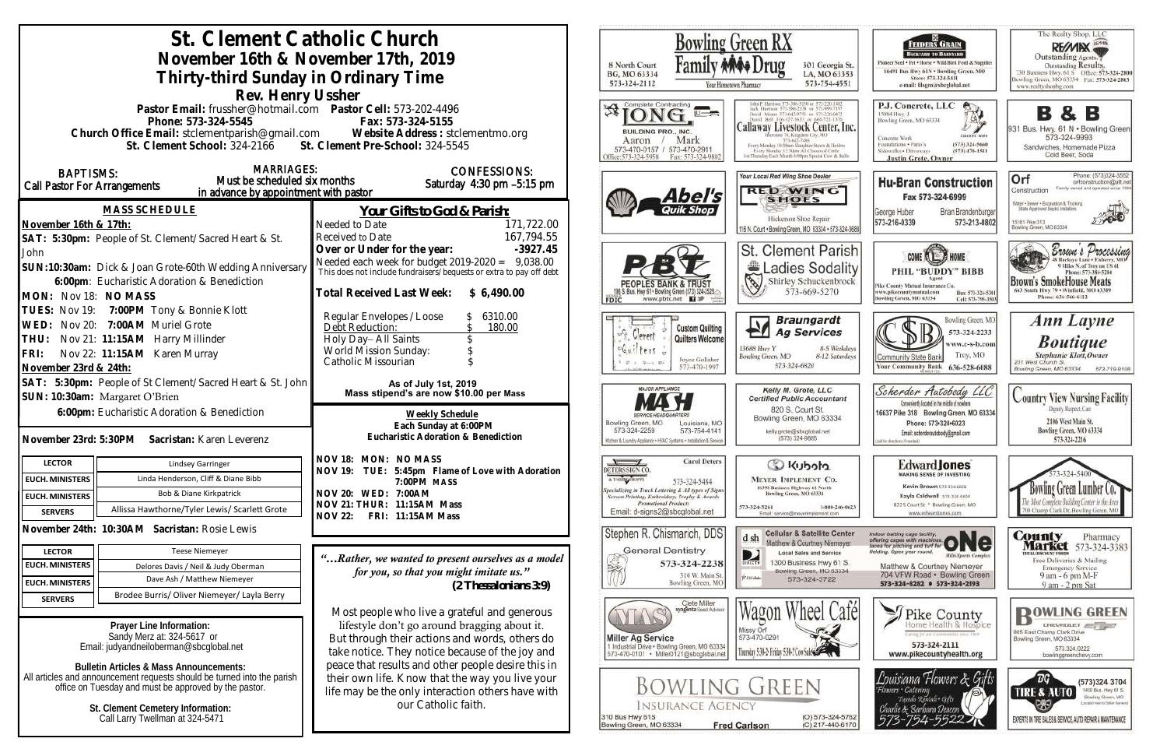| St. Clement Catholic Church<br>November 16th & November 17th, 2019<br>Thirty-third Sunday in Ordinary Time                                                                                                                                                                                                                                                   | <b>Bowling Green RX</b><br>8 North Court<br>301 Georgia<br>BG, MO 63334<br>LA, MO 6339<br>573-324-2112<br>573-754-455<br>Your Hometown Pharmacy                                                                                                                                                                                                                 |                                                                                                                                                                                                                                                                                                                                                                                                                             |
|--------------------------------------------------------------------------------------------------------------------------------------------------------------------------------------------------------------------------------------------------------------------------------------------------------------------------------------------------------------|-----------------------------------------------------------------------------------------------------------------------------------------------------------------------------------------------------------------------------------------------------------------------------------------------------------------------------------------------------------------|-----------------------------------------------------------------------------------------------------------------------------------------------------------------------------------------------------------------------------------------------------------------------------------------------------------------------------------------------------------------------------------------------------------------------------|
| Rev. Henry Ussher<br>Pastor Email: frussher@hotmail.com    Pastor Cell: 573-202-4496<br>Phone: 573-324-5545<br>Church Office Email: stclementparish@gmail.com Website Address : stclementmo.org<br>St. Clement School: 324-2166 St. Clement Pre-School: 324-5545                                                                                             | Fax: 573-324-5155                                                                                                                                                                                                                                                                                                                                               | <b>XX</b><br>$\cup$ $\rightarrow$<br>Callaway Livestock Center, Iı<br>BUILDING PRO., INC.<br>Mark<br>Aaron<br>10:00am Slaughter Steers & Heife<br>573-470-0157 / 573-470-2911<br>Every Monday 12:30pm All Classes of Cattle<br>ist Thursday Fash Month 6:00sex Steerial Cow & By<br>Office:573-324-5958<br>Fax: 573-324-9802                                                                                                |
| <b>MARRIAGES:</b><br><b>BAPTISMS:</b><br>Must be scheduled six months<br>Call Pastor For Arrangements<br>in advance by appointment with pastor                                                                                                                                                                                                               | <b>CONFESSIONS:</b><br>Saturday 4:30 pm -5:15 pm                                                                                                                                                                                                                                                                                                                | Your Local Red Wing Shoe Dealer<br><b>RED WING</b><br>Abel's<br><b>SHOES</b>                                                                                                                                                                                                                                                                                                                                                |
| <b>MASS SCHEDULE</b><br>November 16th & 17th:<br>SAT: 5:30pm: People of St. Clement/Sacred Heart & St.                                                                                                                                                                                                                                                       | <u>Your Gifts to God &amp; Parish:</u><br>171,722.00<br>Needed to Date<br>167,794.55<br>Received to Date                                                                                                                                                                                                                                                        | Hickerson Shoe Repair<br>116 N. Court . Bowling Green, MO 63334 . 573-324                                                                                                                                                                                                                                                                                                                                                   |
| John<br>SUN:10:30am: Dick & Joan Grote-60th Wedding Anniversary<br>6:00pm: Eucharistic Adoration & Benediction<br>MON: Nov 18: NO MASS                                                                                                                                                                                                                       | Over or Under for the year:<br>$-3927.45$<br>Needed each week for budget $2019-2020 = 9,038.00$<br>This does not include fundraisers/bequests or extra to pay off debt<br>Total Received Last Week: \$ 6,490.00                                                                                                                                                 | <b>St. Clement Paris</b><br>Ladies Sodali<br>8<br>Shirley Schuckenbro<br>573-669-5270<br>5. Bus. Hwy 61 . Bowling Green (573) 324-2525.<br>www.pbtc.net <b>H</b>                                                                                                                                                                                                                                                            |
| TUES: Nov 19: 7:00PM Tony & Bonnie Klott<br>WED: Nov 20: 7:00AM Muriel Grote<br>THU: Nov 21: 11:15AM Harry Millinder<br>Nov 22: 11:15AM Karen Murray<br>FRI:<br>November 23rd & 24th:                                                                                                                                                                        | Regular Envelopes / Loose<br>6310.00<br>Debt Reduction:<br>180.00<br>Holy Day-All Saints<br>World Mission Sunday:<br>Catholic Missourian                                                                                                                                                                                                                        | <b>Braungardt</b><br><b>Custom Quilting</b><br><b>Ag Services</b><br>uN+<br>Verrett<br>Quilters Welcome<br>13688 Hwy Y<br>8-5 Weeks<br>$f$ ers<br>Bowling Green, MO<br>8-12 Saturd<br>Joyce Gollaher<br>$\begin{array}{ccccccccc}\n\mathcal{Q} & \mathcal{A} & \mathcal{Q} & \mathcal{A} & \mathcal{Q} & \mathcal{Q}\n\end{array}$<br>573-324-6820<br>573-470-1997                                                          |
| SAT: 5:30pm: People of St Clement/Sacred Heart & St. John<br>SUN: 10:30am: Margaret O'Brien<br>6:00pm: Eucharistic Adoration & Benediction<br>November 23rd: 5:30PM Sacristan: Karen Leverenz                                                                                                                                                                | As of July 1st, 2019<br>Mass stipend's are now \$10.00 per Mass<br>Weekly Schedule<br>Each Sunday at 6:00PM<br>Eucharistic Adoration & Benediction                                                                                                                                                                                                              | <b>MAJOR APPLIANCE</b><br>Kelly M. Grote, LLC<br><b>Certified Public Accountant</b><br>820 S. Court St.<br>Bowling Green, MO 63334<br>Bowling Green, MO<br>Louisiana, MO<br>573-324-2259<br>573-754-4141<br>kelly.grote@sbcglobal.net<br>(573) 324-9885<br>Kitchen & Laundry Appliance - HVAC Systems - Installation & Service                                                                                              |
| <b>LECTOR</b><br><b>Lindsey Garringer</b><br>Linda Henderson, Cliff & Diane Bibb<br><b>EUCH. MINISTERS</b><br>Bob & Diane Kirkpatrick<br><b>EUCH. MINISTERS</b><br>Allissa Hawthorne/Tyler Lewis/ Scarlett Grote<br><b>SERVERS</b>                                                                                                                           | NOV 18: MON: NO MASS<br>NOV 19: TUE: 5:45pm Flame of Love with Adoration<br>7:00PM MASS<br>NOV 20: WED: 7:00AM<br>NOV 21: THUR: 11:15AM Mass<br><b>NOV 22:</b><br>FRI: 11:15AM Mass                                                                                                                                                                             | <b>Carol Deters</b><br>Colcoluy Co<br>DETERS SIGN CO.<br>A T-SSSKI SHOPPE<br><b>MEYER IMPLEMENT CO.</b><br>573-324-5484<br>16398 Business Highway 61 North<br>Specializing in Truck Lettering & All types of Signs<br>Bowling Green, MO 63334<br>Screen Printing, Embroidery, Trophy & Awards.<br>Promotional Products<br>573-324-5261<br>1-800-246-6<br>Email: d-signs2@sbcglobal.net<br>Email: service@mayerimplement.com |
| November 24th: 10:30AM Sacristan: Rosie Lewis<br><b>Teese Niemeyer</b><br><b>LECTOR</b><br><b>EUCH. MINISTERS</b><br>Delores Davis / Neil & Judy Oberman<br>Dave Ash / Matthew Niemeyer<br><b>EUCH. MINISTERS</b>                                                                                                                                            | "Rather, we wanted to present ourselves as a model<br>for you, so that you might imitate us."<br>$(2)$ Thessalonians 3:9)                                                                                                                                                                                                                                       | Stephen R. Chismarich, DDS<br><b>Cellular &amp; Satellite Cent</b><br>d sh<br>Matthew & Courtney Niemey<br><b>General Dentistry</b><br><b>Local Sales and Service</b><br>D<br><b>SER</b><br>1300 Business Hwy 61 S<br>573-324-2238<br><b>GIRECTY</b><br>Bowling Green, MO 63334<br>310 W. Main St.<br><b>Platition</b><br>573-324-3722<br>Bowling Green, MO                                                                 |
| Brodee Burris/ Oliver Niemeyer/ Layla Berry<br><b>SERVERS</b><br>Prayer Line Information:<br>Sandy Merz at: 324-5617 or<br>Email: judyandneiloberman@sbcqlobal.net<br><b>Bulletin Articles &amp; Mass Announcements:</b><br>All articles and announcement requests should be turned into the parish<br>office on Tuesday and must be approved by the pastor. | Most people who live a grateful and generous<br>lifestyle don't go around bragging about it.<br>But through their actions and words, others do<br>take notice. They notice because of the joy and<br>peace that results and other people desire this in<br>their own life. Know that the way you live your<br>life may be the only interaction others have with | Clete Miller<br>syngenta Sood Advisor<br>Missy Orf<br>573-470-0291<br>Miller Ag Service<br>1 Industrial Drive . Bowling Green, MO 63334<br>Thursday 5:30-2: Friday 5:30-7 Cove<br>573-470-0101 · Miller0121@sbcglobal.net<br><b>BOWLING GREEN</b>                                                                                                                                                                           |
| St. Clement Cemetery Information:<br>Call Larry Twellman at 324-5471                                                                                                                                                                                                                                                                                         | our Catholic faith.                                                                                                                                                                                                                                                                                                                                             | <b>INSURANCE AGENCY</b><br>310 Bus Hwy 61S<br>$(O) 573 - 324 - 57$<br>Bowling Green, MO 63334<br><b>Fred Carlson</b><br>(C) 217-440-61                                                                                                                                                                                                                                                                                      |